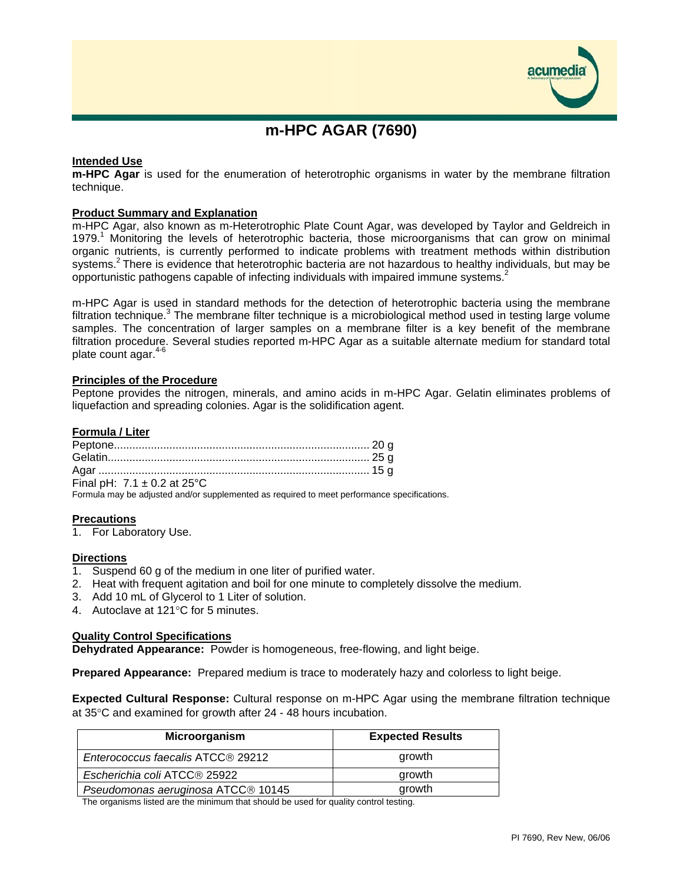

# **m-HPC AGAR (7690)**

# **Intended Use**

**m-HPC Agar** is used for the enumeration of heterotrophic organisms in water by the membrane filtration technique.

### **Product Summary and Explanation**

m-HPC Agar, also known as m-Heterotrophic Plate Count Agar, was developed by Taylor and Geldreich in 1979.<sup>1</sup> Monitoring the levels of heterotrophic bacteria, those microorganisms that can grow on minimal organic nutrients, is currently performed to indicate problems with treatment methods within distribution systems.<sup>2</sup> There is evidence that heterotrophic bacteria are not hazardous to healthy individuals, but may be opportunistic pathogens capable of infecting individuals with impaired immune systems.<sup>2</sup>

m-HPC Agar is used in standard methods for the detection of heterotrophic bacteria using the membrane filtration technique.<sup>3</sup> The membrane filter technique is a microbiological method used in testing large volume samples. The concentration of larger samples on a membrane filter is a key benefit of the membrane filtration procedure. Several studies reported m-HPC Agar as a suitable alternate medium for standard total plate count agar.<sup>4-6</sup>

### **Principles of the Procedure**

Peptone provides the nitrogen, minerals, and amino acids in m-HPC Agar. Gelatin eliminates problems of liquefaction and spreading colonies. Agar is the solidification agent.

### **Formula / Liter**

| Final pH: $7.1 \pm 0.2$ at 25°C |  |
|---------------------------------|--|

Formula may be adjusted and/or supplemented as required to meet performance specifications.

### **Precautions**

1. For Laboratory Use.

### **Directions**

- 1. Suspend 60 g of the medium in one liter of purified water.
- 2. Heat with frequent agitation and boil for one minute to completely dissolve the medium.
- 3. Add 10 mL of Glycerol to 1 Liter of solution.
- 4. Autoclave at 121°C for 5 minutes.

### **Quality Control Specifications**

**Dehydrated Appearance:** Powder is homogeneous, free-flowing, and light beige.

**Prepared Appearance:** Prepared medium is trace to moderately hazy and colorless to light beige.

**Expected Cultural Response:** Cultural response on m-HPC Agar using the membrane filtration technique at 35°C and examined for growth after 24 - 48 hours incubation.

| Microorganism                      | <b>Expected Results</b> |
|------------------------------------|-------------------------|
| Enterococcus faecalis ATCC® 29212  | growth                  |
| Escherichia coli ATCC® 25922       | growth                  |
| Pseudomonas aeruginosa ATCC® 10145 | growth                  |

The organisms listed are the minimum that should be used for quality control testing.